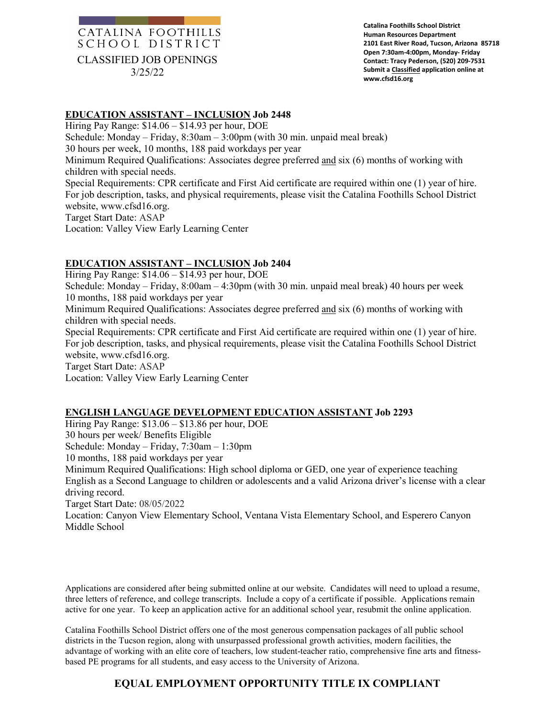## CATALINA FOOTHILLS SCHOOL DISTRICT CLASSIFIED JOB OPENINGS 3/25/22

**Catalina Foothills School District Human Resources Department 2101 East River Road, Tucson, Arizona 85718 Open 7:30am-4:00pm, Monday- Friday Contact: Tracy Pederson, (520) 209-7531 Submit a Classified application online at www.cfsd16.org**

### **EDUCATION ASSISTANT – INCLUSION Job 2448**

Hiring Pay Range: \$14.06 – \$14.93 per hour, DOE Schedule: Monday – Friday, 8:30am – 3:00pm (with 30 min. unpaid meal break) 30 hours per week, 10 months, 188 paid workdays per year Minimum Required Qualifications: Associates degree preferred and six (6) months of working with children with special needs. Special Requirements: CPR certificate and First Aid certificate are required within one (1) year of hire. For job description, tasks, and physical requirements, please visit the Catalina Foothills School District website, www.cfsd16.org. Target Start Date: ASAP Location: Valley View Early Learning Center

### **EDUCATION ASSISTANT – INCLUSION Job 2404**

Hiring Pay Range: \$14.06 – \$14.93 per hour, DOE Schedule: Monday – Friday, 8:00am – 4:30pm (with 30 min. unpaid meal break) 40 hours per week 10 months, 188 paid workdays per year Minimum Required Qualifications: Associates degree preferred and six (6) months of working with children with special needs. Special Requirements: CPR certificate and First Aid certificate are required within one (1) year of hire. For job description, tasks, and physical requirements, please visit the Catalina Foothills School District website, www.cfsd16.org. Target Start Date: ASAP Location: Valley View Early Learning Center

#### **ENGLISH LANGUAGE DEVELOPMENT EDUCATION ASSISTANT Job 2293**

Hiring Pay Range: \$13.06 – \$13.86 per hour, DOE 30 hours per week/ Benefits Eligible Schedule: Monday – Friday, 7:30am – 1:30pm 10 months, 188 paid workdays per year Minimum Required Qualifications: High school diploma or GED, one year of experience teaching English as a Second Language to children or adolescents and a valid Arizona driver's license with a clear driving record. Target Start Date: 08/05/2022 Location: Canyon View Elementary School, Ventana Vista Elementary School, and Esperero Canyon Middle School

Applications are considered after being submitted online at our website. Candidates will need to upload a resume, three letters of reference, and college transcripts. Include a copy of a certificate if possible. Applications remain active for one year. To keep an application active for an additional school year, resubmit the online application.

Catalina Foothills School District offers one of the most generous compensation packages of all public school districts in the Tucson region, along with unsurpassed professional growth activities, modern facilities, the advantage of working with an elite core of teachers, low student-teacher ratio, comprehensive fine arts and fitnessbased PE programs for all students, and easy access to the University of Arizona.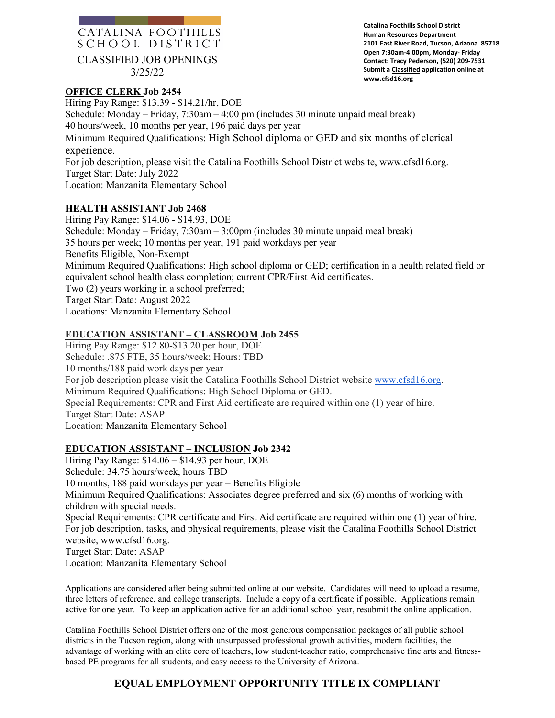## CATALINA FOOTHILLS SCHOOL DISTRICT CLASSIFIED JOB OPENINGS

3/25/22

### **OFFICE CLERK Job 2454**

**Catalina Foothills School District Human Resources Department 2101 East River Road, Tucson, Arizona 85718 Open 7:30am-4:00pm, Monday- Friday Contact: Tracy Pederson, (520) 209-7531 Submit a Classified application online at www.cfsd16.org**

Hiring Pay Range: \$13.39 - \$14.21/hr, DOE Schedule: Monday – Friday, 7:30am – 4:00 pm (includes 30 minute unpaid meal break) 40 hours/week, 10 months per year, 196 paid days per year Minimum Required Qualifications: High School diploma or GED and six months of clerical experience. For job description, please visit the Catalina Foothills School District website, www.cfsd16.org. Target Start Date: July 2022

Location: Manzanita Elementary School

### **HEALTH ASSISTANT Job 2468**

Hiring Pay Range: \$14.06 - \$14.93, DOE Schedule: Monday – Friday, 7:30am – 3:00pm (includes 30 minute unpaid meal break) 35 hours per week; 10 months per year, 191 paid workdays per year Benefits Eligible, Non-Exempt Minimum Required Qualifications: High school diploma or GED; certification in a health related field or equivalent school health class completion; current CPR/First Aid certificates. Two (2) years working in a school preferred; Target Start Date: August 2022 Locations: Manzanita Elementary School

### **EDUCATION ASSISTANT – CLASSROOM Job 2455**

Hiring Pay Range: \$12.80-\$13.20 per hour, DOE Schedule: .875 FTE, 35 hours/week; Hours: TBD 10 months/188 paid work days per year For job description please visit the Catalina Foothills School District website [www.cfsd16.org.](http://www.cfsd16.org/) Minimum Required Qualifications: High School Diploma or GED. Special Requirements: CPR and First Aid certificate are required within one (1) year of hire. Target Start Date: ASAP Location: Manzanita Elementary School

### **EDUCATION ASSISTANT – INCLUSION Job 2342**

Hiring Pay Range: \$14.06 – \$14.93 per hour, DOE Schedule: 34.75 hours/week, hours TBD 10 months, 188 paid workdays per year – Benefits Eligible Minimum Required Qualifications: Associates degree preferred and six (6) months of working with children with special needs. Special Requirements: CPR certificate and First Aid certificate are required within one (1) year of hire. For job description, tasks, and physical requirements, please visit the Catalina Foothills School District website, www.cfsd16.org. Target Start Date: ASAP Location: Manzanita Elementary School

Applications are considered after being submitted online at our website. Candidates will need to upload a resume, three letters of reference, and college transcripts. Include a copy of a certificate if possible. Applications remain active for one year. To keep an application active for an additional school year, resubmit the online application.

Catalina Foothills School District offers one of the most generous compensation packages of all public school districts in the Tucson region, along with unsurpassed professional growth activities, modern facilities, the advantage of working with an elite core of teachers, low student-teacher ratio, comprehensive fine arts and fitnessbased PE programs for all students, and easy access to the University of Arizona.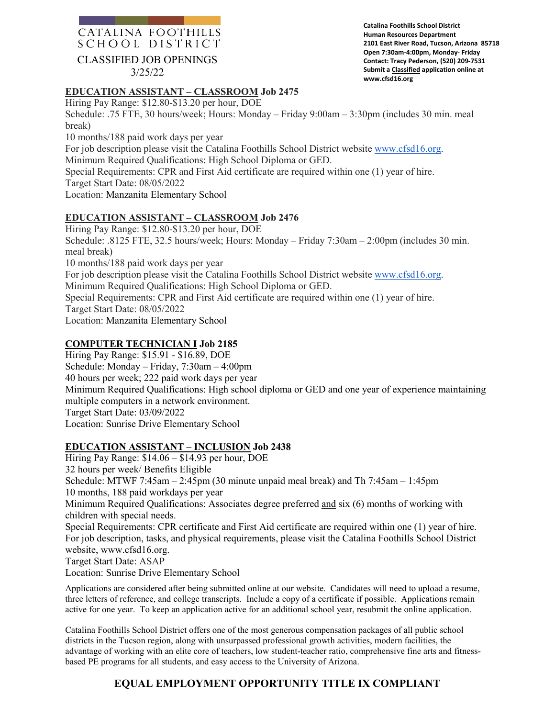### CATALINA FOOTHILLS SCHOOL DISTRICT

### CLASSIFIED JOB OPENINGS

3/25/22

**Catalina Foothills School District Human Resources Department 2101 East River Road, Tucson, Arizona 85718 Open 7:30am-4:00pm, Monday- Friday Contact: Tracy Pederson, (520) 209-7531 Submit a Classified application online at www.cfsd16.org**

### **EDUCATION ASSISTANT – CLASSROOM Job 2475**

Hiring Pay Range: \$12.80-\$13.20 per hour, DOE

Schedule: .75 FTE, 30 hours/week; Hours: Monday – Friday 9:00am – 3:30pm (includes 30 min. meal break)

10 months/188 paid work days per year

For job description please visit the Catalina Foothills School District website [www.cfsd16.org.](http://www.cfsd16.org/)

Minimum Required Qualifications: High School Diploma or GED.

Special Requirements: CPR and First Aid certificate are required within one (1) year of hire.

Target Start Date: 08/05/2022

Location: Manzanita Elementary School

### **EDUCATION ASSISTANT – CLASSROOM Job 2476**

Hiring Pay Range: \$12.80-\$13.20 per hour, DOE Schedule: .8125 FTE, 32.5 hours/week; Hours: Monday – Friday 7:30am – 2:00pm (includes 30 min. meal break) 10 months/188 paid work days per year For job description please visit the Catalina Foothills School District website [www.cfsd16.org.](http://www.cfsd16.org/) Minimum Required Qualifications: High School Diploma or GED. Special Requirements: CPR and First Aid certificate are required within one (1) year of hire. Target Start Date: 08/05/2022 Location: Manzanita Elementary School

### **COMPUTER TECHNICIAN I Job 2185**

Hiring Pay Range: \$15.91 - \$16.89, DOE Schedule: Monday – Friday, 7:30am – 4:00pm 40 hours per week; 222 paid work days per year Minimum Required Qualifications: High school diploma or GED and one year of experience maintaining multiple computers in a network environment. Target Start Date: 03/09/2022 Location: Sunrise Drive Elementary School

### **EDUCATION ASSISTANT – INCLUSION Job 2438**

Hiring Pay Range: \$14.06 – \$14.93 per hour, DOE 32 hours per week/ Benefits Eligible Schedule: MTWF 7:45am – 2:45pm (30 minute unpaid meal break) and Th 7:45am – 1:45pm 10 months, 188 paid workdays per year Minimum Required Qualifications: Associates degree preferred and six (6) months of working with children with special needs. Special Requirements: CPR certificate and First Aid certificate are required within one (1) year of hire. For job description, tasks, and physical requirements, please visit the Catalina Foothills School District website, www.cfsd16.org. Target Start Date: ASAP Location: Sunrise Drive Elementary School

Applications are considered after being submitted online at our website. Candidates will need to upload a resume, three letters of reference, and college transcripts. Include a copy of a certificate if possible. Applications remain active for one year. To keep an application active for an additional school year, resubmit the online application.

Catalina Foothills School District offers one of the most generous compensation packages of all public school districts in the Tucson region, along with unsurpassed professional growth activities, modern facilities, the advantage of working with an elite core of teachers, low student-teacher ratio, comprehensive fine arts and fitnessbased PE programs for all students, and easy access to the University of Arizona.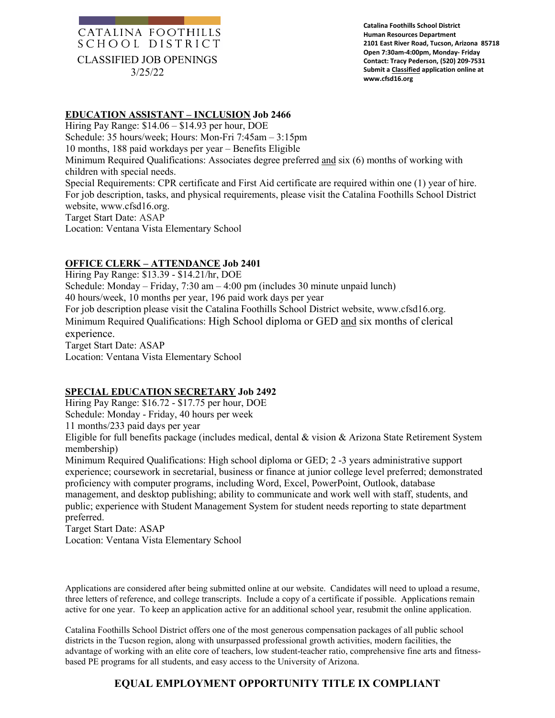## CATALINA FOOTHILLS SCHOOL DISTRICT CLASSIFIED JOB OPENINGS 3/25/22

**Catalina Foothills School District Human Resources Department 2101 East River Road, Tucson, Arizona 85718 Open 7:30am-4:00pm, Monday- Friday Contact: Tracy Pederson, (520) 209-7531 Submit a Classified application online at www.cfsd16.org**

### **EDUCATION ASSISTANT – INCLUSION Job 2466**

Hiring Pay Range: \$14.06 – \$14.93 per hour, DOE Schedule: 35 hours/week; Hours: Mon-Fri 7:45am – 3:15pm 10 months, 188 paid workdays per year – Benefits Eligible Minimum Required Qualifications: Associates degree preferred and six (6) months of working with children with special needs. Special Requirements: CPR certificate and First Aid certificate are required within one (1) year of hire. For job description, tasks, and physical requirements, please visit the Catalina Foothills School District website, www.cfsd16.org. Target Start Date: ASAP Location: Ventana Vista Elementary School

### **OFFICE CLERK – ATTENDANCE Job 2401**

Hiring Pay Range: \$13.39 - \$14.21/hr, DOE Schedule: Monday – Friday, 7:30 am – 4:00 pm (includes 30 minute unpaid lunch) 40 hours/week, 10 months per year, 196 paid work days per year For job description please visit the Catalina Foothills School District website, www.cfsd16.org. Minimum Required Qualifications: High School diploma or GED and six months of clerical experience. Target Start Date: ASAP Location: Ventana Vista Elementary School

### **SPECIAL EDUCATION SECRETARY Job 2492**

Hiring Pay Range: \$16.72 - \$17.75 per hour, DOE

Schedule: Monday - Friday, 40 hours per week

11 months/233 paid days per year

Eligible for full benefits package (includes medical, dental & vision & Arizona State Retirement System membership)

Minimum Required Qualifications: High school diploma or GED; 2 -3 years administrative support experience; coursework in secretarial, business or finance at junior college level preferred; demonstrated proficiency with computer programs, including Word, Excel, PowerPoint, Outlook, database management, and desktop publishing; ability to communicate and work well with staff, students, and public; experience with Student Management System for student needs reporting to state department preferred.

Target Start Date: ASAP Location: Ventana Vista Elementary School

Applications are considered after being submitted online at our website. Candidates will need to upload a resume, three letters of reference, and college transcripts. Include a copy of a certificate if possible. Applications remain active for one year. To keep an application active for an additional school year, resubmit the online application.

Catalina Foothills School District offers one of the most generous compensation packages of all public school districts in the Tucson region, along with unsurpassed professional growth activities, modern facilities, the advantage of working with an elite core of teachers, low student-teacher ratio, comprehensive fine arts and fitnessbased PE programs for all students, and easy access to the University of Arizona.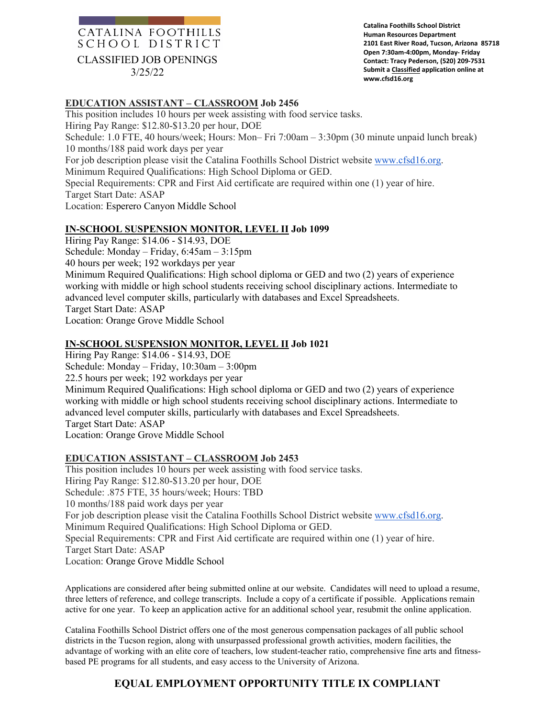## CATALINA FOOTHILLS SCHOOL DISTRICT CLASSIFIED JOB OPENINGS

3/25/22

**Catalina Foothills School District Human Resources Department 2101 East River Road, Tucson, Arizona 85718 Open 7:30am-4:00pm, Monday- Friday Contact: Tracy Pederson, (520) 209-7531 Submit a Classified application online at www.cfsd16.org**

### **EDUCATION ASSISTANT – CLASSROOM Job 2456**

This position includes 10 hours per week assisting with food service tasks. Hiring Pay Range: \$12.80-\$13.20 per hour, DOE Schedule: 1.0 FTE, 40 hours/week; Hours: Mon– Fri 7:00am – 3:30pm (30 minute unpaid lunch break) 10 months/188 paid work days per year For job description please visit the Catalina Foothills School District website [www.cfsd16.org.](http://www.cfsd16.org/) Minimum Required Qualifications: High School Diploma or GED. Special Requirements: CPR and First Aid certificate are required within one (1) year of hire. Target Start Date: ASAP Location: Esperero Canyon Middle School

### **IN-SCHOOL SUSPENSION MONITOR, LEVEL II Job 1099**

Hiring Pay Range: \$14.06 - \$14.93, DOE Schedule: Monday – Friday, 6:45am – 3:15pm 40 hours per week; 192 workdays per year Minimum Required Qualifications: High school diploma or GED and two (2) years of experience working with middle or high school students receiving school disciplinary actions. Intermediate to advanced level computer skills, particularly with databases and Excel Spreadsheets. Target Start Date: ASAP Location: Orange Grove Middle School

### **IN-SCHOOL SUSPENSION MONITOR, LEVEL II Job 1021**

Hiring Pay Range: \$14.06 - \$14.93, DOE Schedule: Monday – Friday, 10:30am – 3:00pm 22.5 hours per week; 192 workdays per year Minimum Required Qualifications: High school diploma or GED and two (2) years of experience working with middle or high school students receiving school disciplinary actions. Intermediate to advanced level computer skills, particularly with databases and Excel Spreadsheets. Target Start Date: ASAP Location: Orange Grove Middle School

#### **EDUCATION ASSISTANT – CLASSROOM Job 2453**

This position includes 10 hours per week assisting with food service tasks. Hiring Pay Range: \$12.80-\$13.20 per hour, DOE Schedule: .875 FTE, 35 hours/week; Hours: TBD 10 months/188 paid work days per year For job description please visit the Catalina Foothills School District website [www.cfsd16.org.](http://www.cfsd16.org/) Minimum Required Qualifications: High School Diploma or GED. Special Requirements: CPR and First Aid certificate are required within one (1) year of hire. Target Start Date: ASAP Location: Orange Grove Middle School

Applications are considered after being submitted online at our website. Candidates will need to upload a resume, three letters of reference, and college transcripts. Include a copy of a certificate if possible. Applications remain active for one year. To keep an application active for an additional school year, resubmit the online application.

Catalina Foothills School District offers one of the most generous compensation packages of all public school districts in the Tucson region, along with unsurpassed professional growth activities, modern facilities, the advantage of working with an elite core of teachers, low student-teacher ratio, comprehensive fine arts and fitnessbased PE programs for all students, and easy access to the University of Arizona.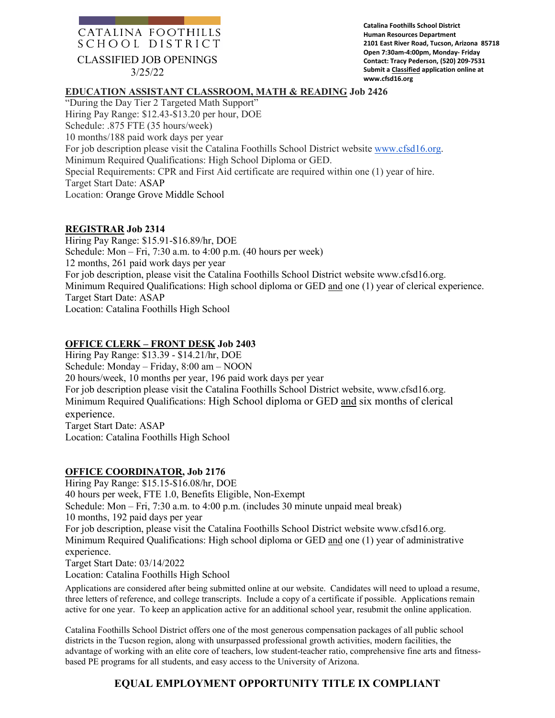# CATALINA FOOTHILLS SCHOOL DISTRICT

CLASSIFIED JOB OPENINGS

3/25/22

**Catalina Foothills School District Human Resources Department 2101 East River Road, Tucson, Arizona 85718 Open 7:30am-4:00pm, Monday- Friday Contact: Tracy Pederson, (520) 209-7531 Submit a Classified application online at www.cfsd16.org**

### **EDUCATION ASSISTANT CLASSROOM, MATH & READING Job 2426**

"During the Day Tier 2 Targeted Math Support" Hiring Pay Range: \$12.43-\$13.20 per hour, DOE Schedule: .875 FTE (35 hours/week) 10 months/188 paid work days per year For job description please visit the Catalina Foothills School District website [www.cfsd16.org.](http://www.cfsd16.org/) Minimum Required Qualifications: High School Diploma or GED. Special Requirements: CPR and First Aid certificate are required within one (1) year of hire. Target Start Date: ASAP Location: Orange Grove Middle School

### **REGISTRAR Job 2314**

Hiring Pay Range: \$15.91-\$16.89/hr, DOE Schedule: Mon – Fri, 7:30 a.m. to 4:00 p.m. (40 hours per week) 12 months, 261 paid work days per year For job description, please visit the Catalina Foothills School District website www.cfsd16.org. Minimum Required Qualifications: High school diploma or GED and one (1) year of clerical experience. Target Start Date: ASAP Location: Catalina Foothills High School

### **OFFICE CLERK – FRONT DESK Job 2403**

Hiring Pay Range: \$13.39 - \$14.21/hr, DOE Schedule: Monday – Friday, 8:00 am – NOON 20 hours/week, 10 months per year, 196 paid work days per year For job description please visit the Catalina Foothills School District website, www.cfsd16.org. Minimum Required Qualifications: High School diploma or GED and six months of clerical experience. Target Start Date: ASAP Location: Catalina Foothills High School

### **OFFICE COORDINATOR, Job 2176**

Hiring Pay Range: \$15.15-\$16.08/hr, DOE 40 hours per week, FTE 1.0, Benefits Eligible, Non-Exempt Schedule: Mon – Fri, 7:30 a.m. to 4:00 p.m. (includes 30 minute unpaid meal break) 10 months, 192 paid days per year For job description, please visit the Catalina Foothills School District website www.cfsd16.org. Minimum Required Qualifications: High school diploma or GED and one (1) year of administrative experience. Target Start Date: 03/14/2022 Location: Catalina Foothills High School

Applications are considered after being submitted online at our website. Candidates will need to upload a resume, three letters of reference, and college transcripts. Include a copy of a certificate if possible. Applications remain active for one year. To keep an application active for an additional school year, resubmit the online application.

Catalina Foothills School District offers one of the most generous compensation packages of all public school districts in the Tucson region, along with unsurpassed professional growth activities, modern facilities, the advantage of working with an elite core of teachers, low student-teacher ratio, comprehensive fine arts and fitnessbased PE programs for all students, and easy access to the University of Arizona.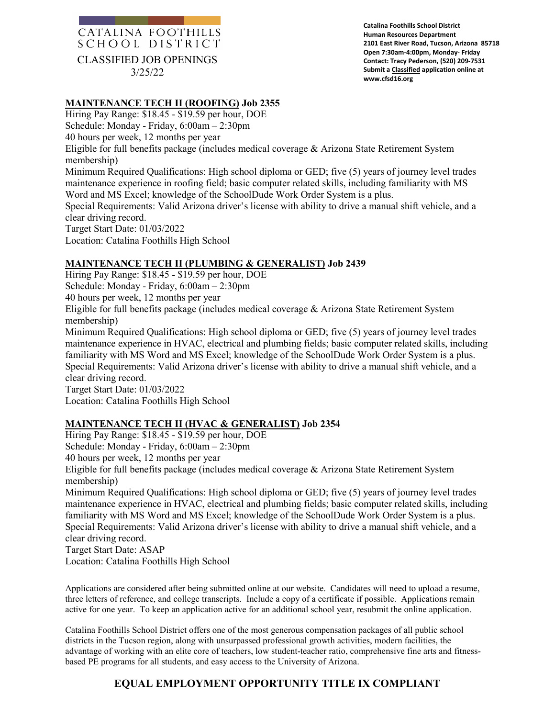## CATALINA FOOTHILLS SCHOOL DISTRICT CLASSIFIED JOB OPENINGS 3/25/22

**Catalina Foothills School District Human Resources Department 2101 East River Road, Tucson, Arizona 85718 Open 7:30am-4:00pm, Monday- Friday Contact: Tracy Pederson, (520) 209-7531 Submit a Classified application online at www.cfsd16.org**

### **MAINTENANCE TECH II (ROOFING) Job 2355**

Hiring Pay Range: \$18.45 - \$19.59 per hour, DOE Schedule: Monday - Friday, 6:00am – 2:30pm 40 hours per week, 12 months per year Eligible for full benefits package (includes medical coverage & Arizona State Retirement System membership) Minimum Required Qualifications: High school diploma or GED; five (5) years of journey level trades maintenance experience in roofing field; basic computer related skills, including familiarity with MS Word and MS Excel; knowledge of the SchoolDude Work Order System is a plus. Special Requirements: Valid Arizona driver's license with ability to drive a manual shift vehicle, and a clear driving record. Target Start Date: 01/03/2022 Location: Catalina Foothills High School

#### **MAINTENANCE TECH II (PLUMBING & GENERALIST) Job 2439**

Hiring Pay Range: \$18.45 - \$19.59 per hour, DOE Schedule: Monday - Friday, 6:00am – 2:30pm 40 hours per week, 12 months per year Eligible for full benefits package (includes medical coverage & Arizona State Retirement System membership) Minimum Required Qualifications: High school diploma or GED; five (5) years of journey level trades maintenance experience in HVAC, electrical and plumbing fields; basic computer related skills, including familiarity with MS Word and MS Excel; knowledge of the SchoolDude Work Order System is a plus. Special Requirements: Valid Arizona driver's license with ability to drive a manual shift vehicle, and a clear driving record. Target Start Date: 01/03/2022 Location: Catalina Foothills High School

### **MAINTENANCE TECH II (HVAC & GENERALIST) Job 2354**

Hiring Pay Range: \$18.45 - \$19.59 per hour, DOE Schedule: Monday - Friday, 6:00am – 2:30pm 40 hours per week, 12 months per year Eligible for full benefits package (includes medical coverage & Arizona State Retirement System membership) Minimum Required Qualifications: High school diploma or GED; five (5) years of journey level trades maintenance experience in HVAC, electrical and plumbing fields; basic computer related skills, including familiarity with MS Word and MS Excel; knowledge of the SchoolDude Work Order System is a plus. Special Requirements: Valid Arizona driver's license with ability to drive a manual shift vehicle, and a clear driving record. Target Start Date: ASAP Location: Catalina Foothills High School

Applications are considered after being submitted online at our website. Candidates will need to upload a resume, three letters of reference, and college transcripts. Include a copy of a certificate if possible. Applications remain active for one year. To keep an application active for an additional school year, resubmit the online application.

Catalina Foothills School District offers one of the most generous compensation packages of all public school districts in the Tucson region, along with unsurpassed professional growth activities, modern facilities, the advantage of working with an elite core of teachers, low student-teacher ratio, comprehensive fine arts and fitnessbased PE programs for all students, and easy access to the University of Arizona.